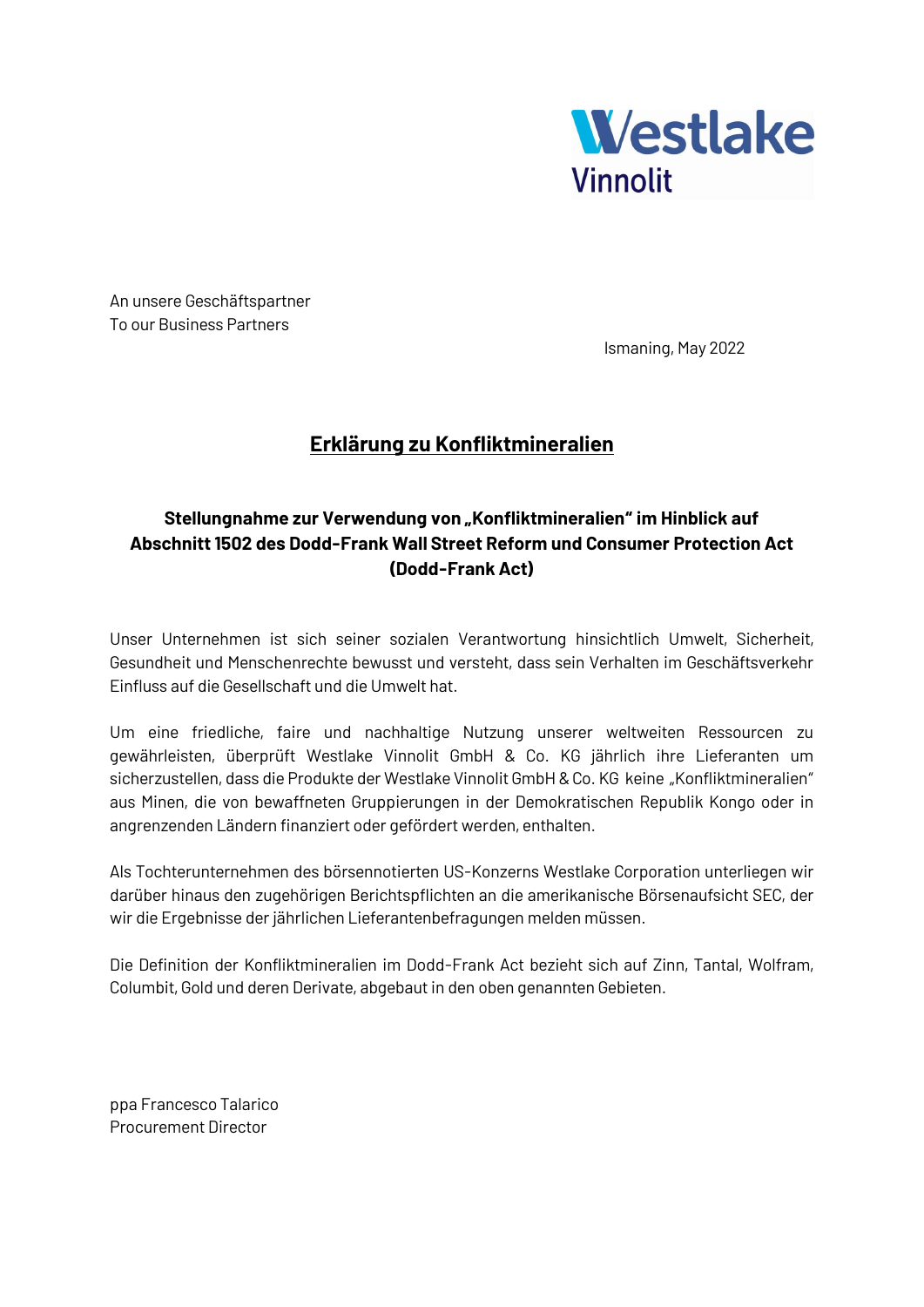

An unsere Geschäftspartner To our Business Partners

Ismaning, May 2022

## **Erklärung zu Konfliktmineralien**

## Stellungnahme zur Verwendung von "Konfliktmineralien" im Hinblick auf **Abschnitt 1502 des Dodd-Frank Wall Street Reform und Consumer Protection Act (Dodd-Frank Act)**

Unser Unternehmen ist sich seiner sozialen Verantwortung hinsichtlich Umwelt, Sicherheit, Gesundheit und Menschenrechte bewusst und versteht, dass sein Verhalten im Geschäftsverkehr Einfluss auf die Gesellschaft und die Umwelt hat.

Um eine friedliche, faire und nachhaltige Nutzung unserer weltweiten Ressourcen zu gewährleisten, überprüft Westlake Vinnolit GmbH & Co. KG jährlich ihre Lieferanten um sicherzustellen, dass die Produkte der Westlake Vinnolit GmbH & Co. KG keine "Konfliktmineralien" aus Minen, die von bewaffneten Gruppierungen in der Demokratischen Republik Kongo oder in angrenzenden Ländern finanziert oder gefördert werden, enthalten.

Als Tochterunternehmen des börsennotierten US-Konzerns Westlake Corporation unterliegen wir darüber hinaus den zugehörigen Berichtspflichten an die amerikanische Börsenaufsicht SEC, der wir die Ergebnisse der jährlichen Lieferantenbefragungen melden müssen.

Die Definition der Konfliktmineralien im Dodd-Frank Act bezieht sich auf Zinn, Tantal, Wolfram, Columbit, Gold und deren Derivate, abgebaut in den oben genannten Gebieten.

ppa Francesco Talarico Procurement Director